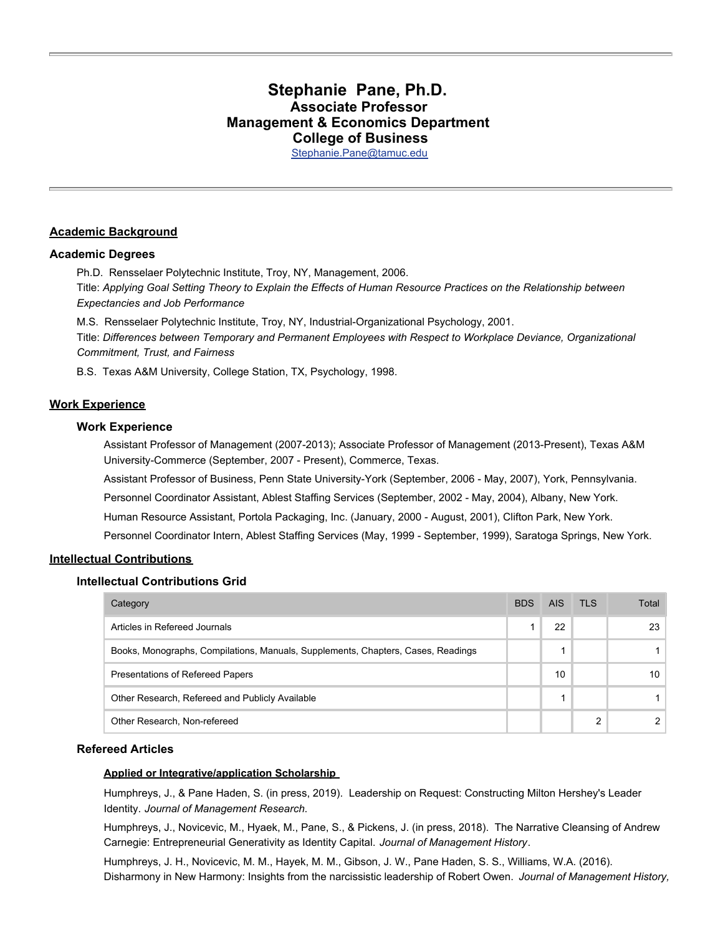# **Stephanie Pane, Ph.D. Associate Professor Management & Economics Department College of Business**

[Stephanie.Pane@tamuc.edu](mailto:Stephanie.Pane@tamuc.edu)

# **Academic Background**

### **Academic Degrees**

Ph.D. Rensselaer Polytechnic Institute, Troy, NY, Management, 2006. Title: *Applying Goal Setting Theory to Explain the Effects of Human Resource Practices on the Relationship between Expectancies and Job Performance*

M.S. Rensselaer Polytechnic Institute, Troy, NY, Industrial-Organizational Psychology, 2001. Title: *Differences between Temporary and Permanent Employees with Respect to Workplace Deviance, Organizational Commitment, Trust, and Fairness*

B.S. Texas A&M University, College Station, TX, Psychology, 1998.

### **Work Experience**

### **Work Experience**

Assistant Professor of Management (2007-2013); Associate Professor of Management (2013-Present), Texas A&M University-Commerce (September, 2007 - Present), Commerce, Texas.

Assistant Professor of Business, Penn State University-York (September, 2006 - May, 2007), York, Pennsylvania.

Personnel Coordinator Assistant, Ablest Staffing Services (September, 2002 - May, 2004), Albany, New York.

Human Resource Assistant, Portola Packaging, Inc. (January, 2000 - August, 2001), Clifton Park, New York.

Personnel Coordinator Intern, Ablest Staffing Services (May, 1999 - September, 1999), Saratoga Springs, New York.

### **Intellectual Contributions**

### **Intellectual Contributions Grid**

| Category                                                                         | <b>BDS</b> | AIS. | <b>TLS</b> | Total |
|----------------------------------------------------------------------------------|------------|------|------------|-------|
| Articles in Refereed Journals                                                    |            | 22   |            | 23    |
| Books, Monographs, Compilations, Manuals, Supplements, Chapters, Cases, Readings |            |      |            |       |
| Presentations of Refereed Papers                                                 |            | 10   |            | 10    |
| Other Research, Refereed and Publicly Available                                  |            |      |            |       |
| Other Research, Non-refereed                                                     |            |      |            |       |

### **Refereed Articles**

### **Applied or Integrative/application Scholarship**

Humphreys, J., & Pane Haden, S. (in press, 2019). Leadership on Request: Constructing Milton Hershey's Leader Identity. *Journal of Management Research*.

Humphreys, J., Novicevic, M., Hyaek, M., Pane, S., & Pickens, J. (in press, 2018). The Narrative Cleansing of Andrew Carnegie: Entrepreneurial Generativity as Identity Capital. *Journal of Management History*.

Humphreys, J. H., Novicevic, M. M., Hayek, M. M., Gibson, J. W., Pane Haden, S. S., Williams, W.A. (2016). Disharmony in New Harmony: Insights from the narcissistic leadership of Robert Owen. *Journal of Management History,*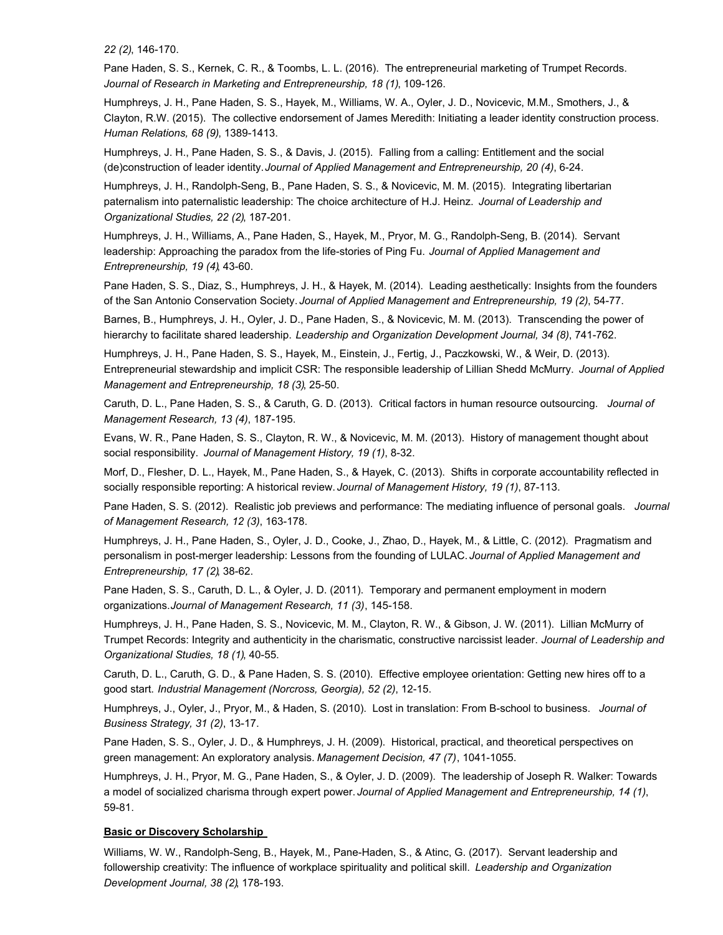*22 (2)*, 146-170.

Pane Haden, S. S., Kernek, C. R., & Toombs, L. L. (2016). The entrepreneurial marketing of Trumpet Records. *Journal of Research in Marketing and Entrepreneurship, 18 (1)*, 109-126.

Humphreys, J. H., Pane Haden, S. S., Hayek, M., Williams, W. A., Oyler, J. D., Novicevic, M.M., Smothers, J., & Clayton, R.W. (2015). The collective endorsement of James Meredith: Initiating a leader identity construction process. *Human Relations, 68 (9)*, 1389-1413.

Humphreys, J. H., Pane Haden, S. S., & Davis, J. (2015). Falling from a calling: Entitlement and the social (de)construction of leader identity. *Journal of Applied Management and Entrepreneurship, 20 (4)*, 6-24.

Humphreys, J. H., Randolph-Seng, B., Pane Haden, S. S., & Novicevic, M. M. (2015). Integrating libertarian paternalism into paternalistic leadership: The choice architecture of H.J. Heinz. *Journal of Leadership and Organizational Studies, 22 (2)*, 187-201.

Humphreys, J. H., Williams, A., Pane Haden, S., Hayek, M., Pryor, M. G., Randolph-Seng, B. (2014). Servant leadership: Approaching the paradox from the life-stories of Ping Fu. *Journal of Applied Management and Entrepreneurship, 19 (4)*, 43-60.

Pane Haden, S. S., Diaz, S., Humphreys, J. H., & Hayek, M. (2014). Leading aesthetically: Insights from the founders of the San Antonio Conservation Society. *Journal of Applied Management and Entrepreneurship, 19 (2)*, 54-77.

Barnes, B., Humphreys, J. H., Oyler, J. D., Pane Haden, S., & Novicevic, M. M. (2013). Transcending the power of hierarchy to facilitate shared leadership. *Leadership and Organization Development Journal, 34 (8)*, 741-762.

Humphreys, J. H., Pane Haden, S. S., Hayek, M., Einstein, J., Fertig, J., Paczkowski, W., & Weir, D. (2013). Entrepreneurial stewardship and implicit CSR: The responsible leadership of Lillian Shedd McMurry. *Journal of Applied Management and Entrepreneurship, 18 (3)*, 25-50.

Caruth, D. L., Pane Haden, S. S., & Caruth, G. D. (2013). Critical factors in human resource outsourcing. *Journal of Management Research, 13 (4)*, 187-195.

Evans, W. R., Pane Haden, S. S., Clayton, R. W., & Novicevic, M. M. (2013). History of management thought about social responsibility. *Journal of Management History, 19 (1)*, 8-32.

Morf, D., Flesher, D. L., Hayek, M., Pane Haden, S., & Hayek, C. (2013). Shifts in corporate accountability reflected in socially responsible reporting: A historical review. *Journal of Management History, 19 (1)*, 87-113.

Pane Haden, S. S. (2012). Realistic job previews and performance: The mediating influence of personal goals. *Journal of Management Research, 12 (3)*, 163-178.

Humphreys, J. H., Pane Haden, S., Oyler, J. D., Cooke, J., Zhao, D., Hayek, M., & Little, C. (2012). Pragmatism and personalism in post-merger leadership: Lessons from the founding of LULAC. *Journal of Applied Management and Entrepreneurship, 17 (2)*, 38-62.

Pane Haden, S. S., Caruth, D. L., & Oyler, J. D. (2011). Temporary and permanent employment in modern organizations. *Journal of Management Research, 11 (3)*, 145-158.

Humphreys, J. H., Pane Haden, S. S., Novicevic, M. M., Clayton, R. W., & Gibson, J. W. (2011). Lillian McMurry of Trumpet Records: Integrity and authenticity in the charismatic, constructive narcissist leader. *Journal of Leadership and Organizational Studies, 18 (1)*, 40-55.

Caruth, D. L., Caruth, G. D., & Pane Haden, S. S. (2010). Effective employee orientation: Getting new hires off to a good start. *Industrial Management (Norcross, Georgia), 52 (2)*, 12-15.

Humphreys, J., Oyler, J., Pryor, M., & Haden, S. (2010). Lost in translation: From B-school to business. *Journal of Business Strategy, 31 (2)*, 13-17.

Pane Haden, S. S., Oyler, J. D., & Humphreys, J. H. (2009). Historical, practical, and theoretical perspectives on green management: An exploratory analysis. *Management Decision, 47 (7)*, 1041-1055.

Humphreys, J. H., Pryor, M. G., Pane Haden, S., & Oyler, J. D. (2009). The leadership of Joseph R. Walker: Towards a model of socialized charisma through expert power. *Journal of Applied Management and Entrepreneurship, 14 (1)*, 59-81.

### **Basic or Discovery Scholarship**

Williams, W. W., Randolph-Seng, B., Hayek, M., Pane-Haden, S., & Atinc, G. (2017). Servant leadership and followership creativity: The influence of workplace spirituality and political skill. *Leadership and Organization Development Journal, 38 (2)*, 178-193.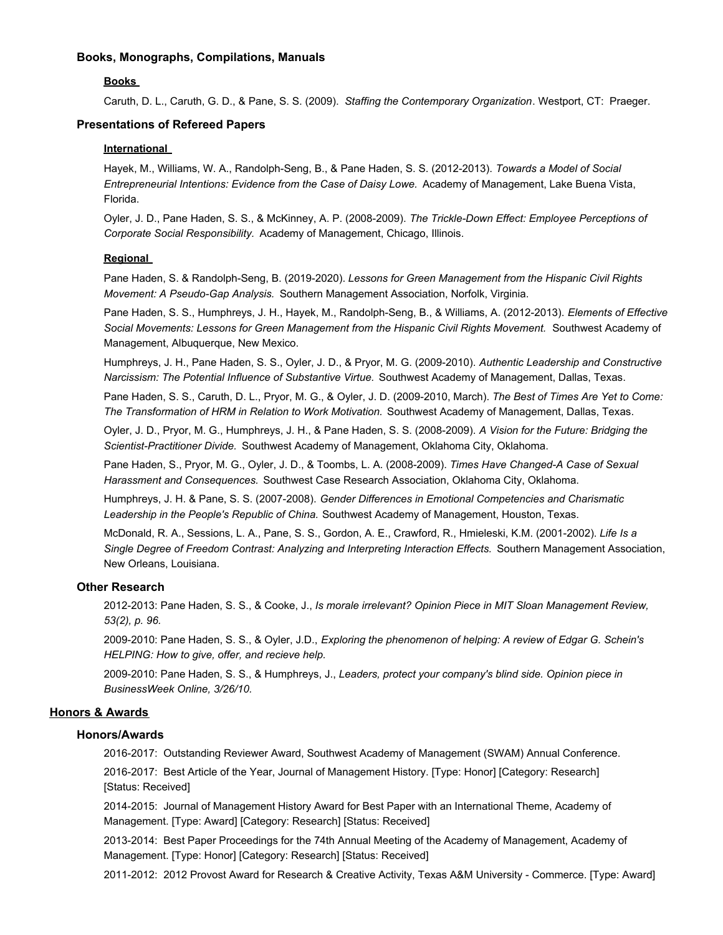### **Books, Monographs, Compilations, Manuals**

### **Books**

Caruth, D. L., Caruth, G. D., & Pane, S. S. (2009). *Staffing the Contemporary Organization*. Westport, CT: Praeger.

### **Presentations of Refereed Papers**

### **International**

Hayek, M., Williams, W. A., Randolph-Seng, B., & Pane Haden, S. S. (2012-2013). *Towards a Model of Social Entrepreneurial Intentions: Evidence from the Case of Daisy Lowe.* Academy of Management, Lake Buena Vista, Florida.

Oyler, J. D., Pane Haden, S. S., & McKinney, A. P. (2008-2009). *The Trickle-Down Effect: Employee Perceptions of Corporate Social Responsibility.* Academy of Management, Chicago, Illinois.

### **Regional**

Pane Haden, S. & Randolph-Seng, B. (2019-2020). *Lessons for Green Management from the Hispanic Civil Rights Movement: A Pseudo-Gap Analysis.* Southern Management Association, Norfolk, Virginia.

Pane Haden, S. S., Humphreys, J. H., Hayek, M., Randolph-Seng, B., & Williams, A. (2012-2013). *Elements of Effective Social Movements: Lessons for Green Management from the Hispanic Civil Rights Movement.* Southwest Academy of Management, Albuquerque, New Mexico.

Humphreys, J. H., Pane Haden, S. S., Oyler, J. D., & Pryor, M. G. (2009-2010). *Authentic Leadership and Constructive Narcissism: The Potential Influence of Substantive Virtue.* Southwest Academy of Management, Dallas, Texas.

Pane Haden, S. S., Caruth, D. L., Pryor, M. G., & Oyler, J. D. (2009-2010, March). *The Best of Times Are Yet to Come: The Transformation of HRM in Relation to Work Motivation.* Southwest Academy of Management, Dallas, Texas.

Oyler, J. D., Pryor, M. G., Humphreys, J. H., & Pane Haden, S. S. (2008-2009). *A Vision for the Future: Bridging the Scientist-Practitioner Divide.* Southwest Academy of Management, Oklahoma City, Oklahoma.

Pane Haden, S., Pryor, M. G., Oyler, J. D., & Toombs, L. A. (2008-2009). *Times Have Changed-A Case of Sexual Harassment and Consequences.* Southwest Case Research Association, Oklahoma City, Oklahoma.

Humphreys, J. H. & Pane, S. S. (2007-2008). *Gender Differences in Emotional Competencies and Charismatic Leadership in the People's Republic of China.* Southwest Academy of Management, Houston, Texas.

McDonald, R. A., Sessions, L. A., Pane, S. S., Gordon, A. E., Crawford, R., Hmieleski, K.M. (2001-2002). *Life Is a Single Degree of Freedom Contrast: Analyzing and Interpreting Interaction Effects.* Southern Management Association, New Orleans, Louisiana.

### **Other Research**

2012-2013: Pane Haden, S. S., & Cooke, J., *Is morale irrelevant? Opinion Piece in MIT Sloan Management Review, 53(2), p. 96.*

2009-2010: Pane Haden, S. S., & Oyler, J.D., *Exploring the phenomenon of helping: A review of Edgar G. Schein's HELPING: How to give, offer, and recieve help.*

2009-2010: Pane Haden, S. S., & Humphreys, J., *Leaders, protect your company's blind side. Opinion piece in BusinessWeek Online, 3/26/10.*

### **Honors & Awards**

# **Honors/Awards**

2016-2017: Outstanding Reviewer Award, Southwest Academy of Management (SWAM) Annual Conference.

2016-2017: Best Article of the Year, Journal of Management History. [Type: Honor] [Category: Research] [Status: Received]

2014-2015: Journal of Management History Award for Best Paper with an International Theme, Academy of Management. [Type: Award] [Category: Research] [Status: Received]

2013-2014: Best Paper Proceedings for the 74th Annual Meeting of the Academy of Management, Academy of Management. [Type: Honor] [Category: Research] [Status: Received]

2011-2012: 2012 Provost Award for Research & Creative Activity, Texas A&M University - Commerce. [Type: Award]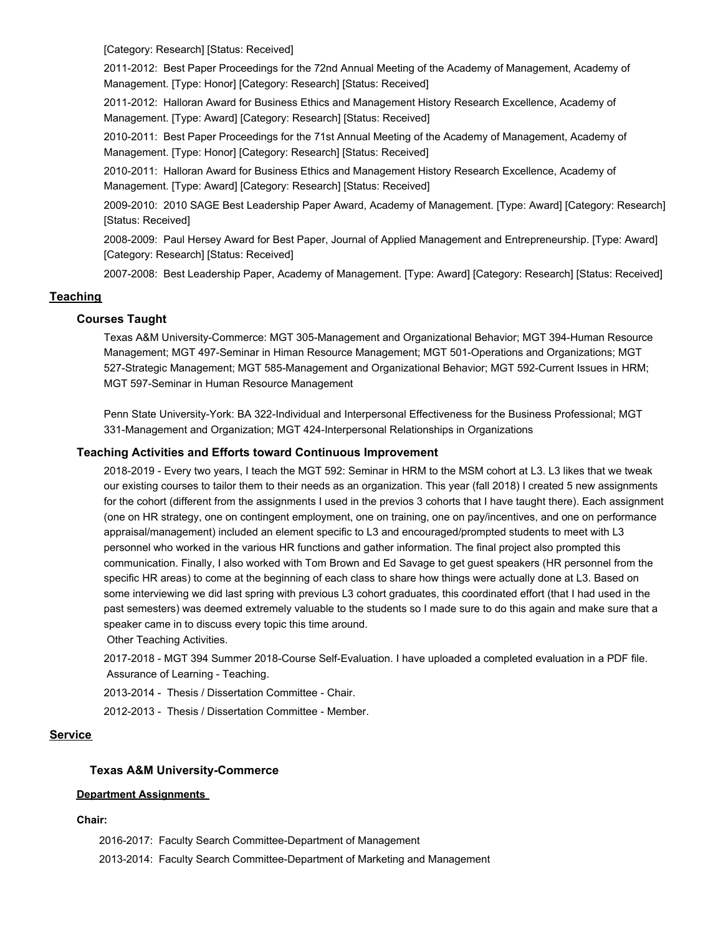[Category: Research] [Status: Received]

2011-2012: Best Paper Proceedings for the 72nd Annual Meeting of the Academy of Management, Academy of Management. [Type: Honor] [Category: Research] [Status: Received]

2011-2012: Halloran Award for Business Ethics and Management History Research Excellence, Academy of Management. [Type: Award] [Category: Research] [Status: Received]

2010-2011: Best Paper Proceedings for the 71st Annual Meeting of the Academy of Management, Academy of Management. [Type: Honor] [Category: Research] [Status: Received]

2010-2011: Halloran Award for Business Ethics and Management History Research Excellence, Academy of Management. [Type: Award] [Category: Research] [Status: Received]

2009-2010: 2010 SAGE Best Leadership Paper Award, Academy of Management. [Type: Award] [Category: Research] [Status: Received]

2008-2009: Paul Hersey Award for Best Paper, Journal of Applied Management and Entrepreneurship. [Type: Award] [Category: Research] [Status: Received]

2007-2008: Best Leadership Paper, Academy of Management. [Type: Award] [Category: Research] [Status: Received]

# **Teaching**

# **Courses Taught**

Texas A&M University-Commerce: MGT 305-Management and Organizational Behavior; MGT 394-Human Resource Management; MGT 497-Seminar in Himan Resource Management; MGT 501-Operations and Organizations; MGT 527-Strategic Management; MGT 585-Management and Organizational Behavior; MGT 592-Current Issues in HRM; MGT 597-Seminar in Human Resource Management

Penn State University-York: BA 322-Individual and Interpersonal Effectiveness for the Business Professional; MGT 331-Management and Organization; MGT 424-Interpersonal Relationships in Organizations

### **Teaching Activities and Efforts toward Continuous Improvement**

2018-2019 - Every two years, I teach the MGT 592: Seminar in HRM to the MSM cohort at L3. L3 likes that we tweak our existing courses to tailor them to their needs as an organization. This year (fall 2018) I created 5 new assignments for the cohort (different from the assignments I used in the previos 3 cohorts that I have taught there). Each assignment (one on HR strategy, one on contingent employment, one on training, one on pay/incentives, and one on performance appraisal/management) included an element specific to L3 and encouraged/prompted students to meet with L3 personnel who worked in the various HR functions and gather information. The final project also prompted this communication. Finally, I also worked with Tom Brown and Ed Savage to get guest speakers (HR personnel from the specific HR areas) to come at the beginning of each class to share how things were actually done at L3. Based on some interviewing we did last spring with previous L3 cohort graduates, this coordinated effort (that I had used in the past semesters) was deemed extremely valuable to the students so I made sure to do this again and make sure that a speaker came in to discuss every topic this time around.

Other Teaching Activities.

2017-2018 - MGT 394 Summer 2018-Course Self-Evaluation. I have uploaded a completed evaluation in a PDF file. Assurance of Learning - Teaching.

2013-2014 - Thesis / Dissertation Committee - Chair.

2012-2013 - Thesis / Dissertation Committee - Member.

### **Service**

### **Texas A&M University-Commerce**

### **Department Assignments**

### **Chair:**

2016-2017: Faculty Search Committee-Department of Management

2013-2014: Faculty Search Committee-Department of Marketing and Management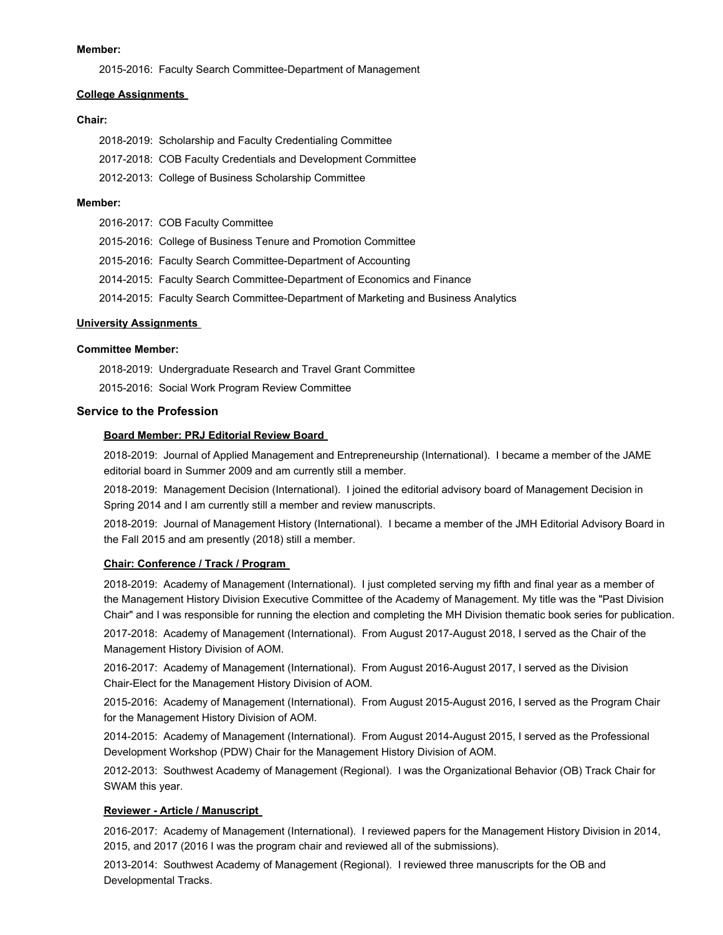#### **Member:**

2015-2016: Faculty Search Committee-Department of Management

#### **College Assignments**

#### **Chair:**

| 2018-2019: Scholarship and Faculty Credentialing Committee   |
|--------------------------------------------------------------|
| 2017-2018: COB Faculty Credentials and Development Committee |
| 2012-2013: College of Business Scholarship Committee         |

#### **Member:**

|  | 2016-2017: COB Faculty Committee                                                   |
|--|------------------------------------------------------------------------------------|
|  | 2015-2016: College of Business Tenure and Promotion Committee                      |
|  | 2015-2016: Faculty Search Committee-Department of Accounting                       |
|  | 2014-2015: Faculty Search Committee-Department of Economics and Finance            |
|  | 2014-2015: Faculty Search Committee-Department of Marketing and Business Analytics |
|  |                                                                                    |

### **University Assignments**

### **Committee Member:**

2018-2019: Undergraduate Research and Travel Grant Committee

2015-2016: Social Work Program Review Committee

### **Service to the Profession**

### **Board Member: PRJ Editorial Review Board**

2018-2019: Journal of Applied Management and Entrepreneurship (International). I became a member of the JAME editorial board in Summer 2009 and am currently still a member.

2018-2019: Management Decision (International). I joined the editorial advisory board of Management Decision in Spring 2014 and I am currently still a member and review manuscripts.

2018-2019: Journal of Management History (International). I became a member of the JMH Editorial Advisory Board in the Fall 2015 and am presently (2018) still a member.

### **Chair: Conference / Track / Program**

2018-2019: Academy of Management (International). I just completed serving my fifth and final year as a member of the Management History Division Executive Committee of the Academy of Management. My title was the "Past Division Chair" and I was responsible for running the election and completing the MH Division thematic book series for publication.

2017-2018: Academy of Management (International). From August 2017-August 2018, I served as the Chair of the Management History Division of AOM.

2016-2017: Academy of Management (International). From August 2016-August 2017, I served as the Division Chair-Elect for the Management History Division of AOM.

2015-2016: Academy of Management (International). From August 2015-August 2016, I served as the Program Chair for the Management History Division of AOM.

2014-2015: Academy of Management (International). From August 2014-August 2015, I served as the Professional Development Workshop (PDW) Chair for the Management History Division of AOM.

2012-2013: Southwest Academy of Management (Regional). I was the Organizational Behavior (OB) Track Chair for SWAM this year.

### **Reviewer - Article / Manuscript**

2016-2017: Academy of Management (International). I reviewed papers for the Management History Division in 2014, 2015, and 2017 (2016 I was the program chair and reviewed all of the submissions).

2013-2014: Southwest Academy of Management (Regional). I reviewed three manuscripts for the OB and Developmental Tracks.